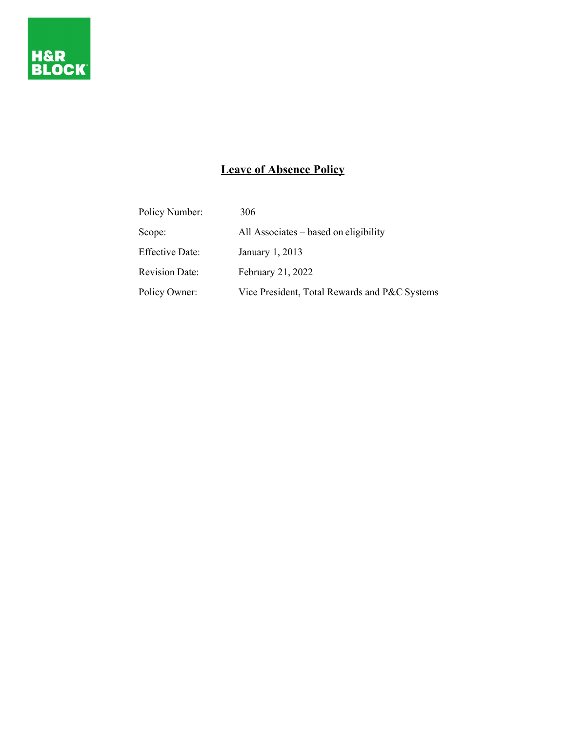

# **Leave of Absence Policy**

| Policy Number:         | 306                                           |
|------------------------|-----------------------------------------------|
| Scope:                 | All Associates – based on eligibility         |
| <b>Effective Date:</b> | January 1, 2013                               |
| <b>Revision Date:</b>  | February 21, 2022                             |
| Policy Owner:          | Vice President, Total Rewards and P&C Systems |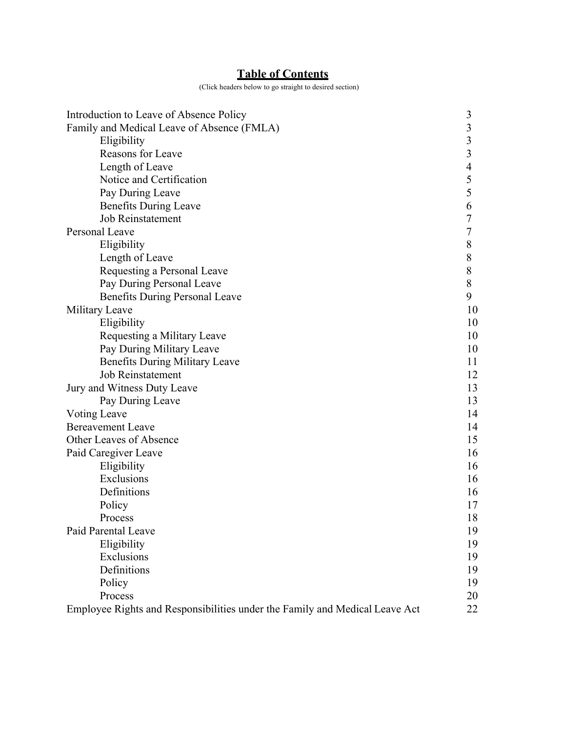# **Table of Contents**

(Click headers below to go straight to desired section)

<span id="page-1-0"></span>

| Introduction to Leave of Absence Policy                                     | 3     |
|-----------------------------------------------------------------------------|-------|
| Family and Medical Leave of Absence (FMLA)                                  | 3     |
| Eligibility                                                                 | 3     |
| Reasons for Leave                                                           | 3     |
| Length of Leave                                                             | 4     |
| Notice and Certification                                                    | 5     |
| Pay During Leave                                                            | 5     |
| <b>Benefits During Leave</b>                                                | 6     |
| <b>Job Reinstatement</b>                                                    | 7     |
| Personal Leave                                                              |       |
| Eligibility                                                                 | 8     |
| Length of Leave                                                             | 8     |
| Requesting a Personal Leave                                                 | $8\,$ |
| Pay During Personal Leave                                                   | 8     |
| <b>Benefits During Personal Leave</b>                                       | 9     |
| Military Leave                                                              | 10    |
| Eligibility                                                                 | 10    |
| Requesting a Military Leave                                                 | 10    |
| Pay During Military Leave                                                   | 10    |
| <b>Benefits During Military Leave</b>                                       | 11    |
| <b>Job Reinstatement</b>                                                    | 12    |
| Jury and Witness Duty Leave                                                 |       |
| Pay During Leave                                                            | 13    |
| Voting Leave                                                                | 14    |
| <b>Bereavement Leave</b>                                                    | 14    |
| Other Leaves of Absence                                                     | 15    |
| Paid Caregiver Leave                                                        | 16    |
| Eligibility                                                                 | 16    |
| Exclusions                                                                  | 16    |
| Definitions                                                                 | 16    |
| Policy                                                                      | 17    |
| Process                                                                     | 18    |
| Paid Parental Leave                                                         | 19    |
| Eligibility                                                                 | 19    |
| Exclusions                                                                  | 19    |
| Definitions                                                                 | 19    |
| Policy                                                                      | 19    |
| Process                                                                     | 20    |
| Employee Rights and Responsibilities under the Family and Medical Leave Act | 22    |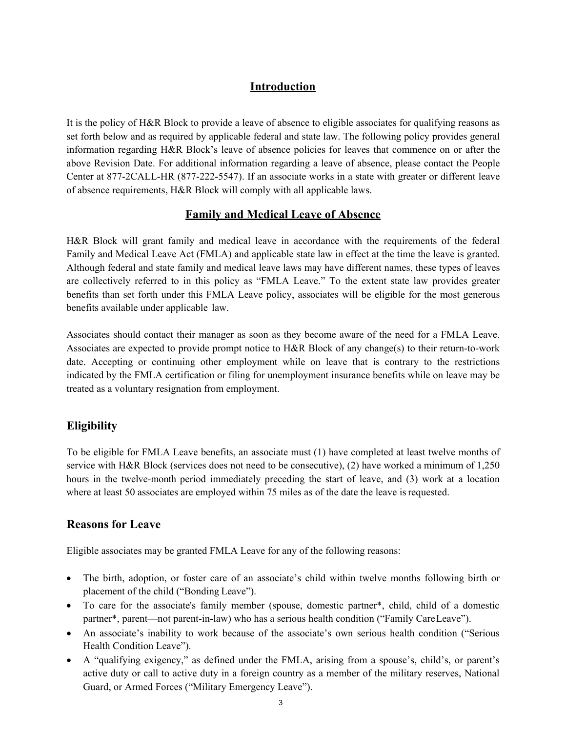## <span id="page-2-1"></span>**Introduction**

<span id="page-2-0"></span>It is the policy of H&R Block to provide a leave of absence to eligible associates for qualifying reasons as set forth below and as required by applicable federal and state law. The following policy provides general information regarding H&R Block's leave of absence policies for leaves that commence on or after the above Revision Date. For additional information regarding a leave of absence, please contact the People Center at 877-2CALL-HR (877-222-5547). If an associate works in a state with greater or different leave of absence requirements, H&R Block will comply with all applicable laws.

### **Family and Medical Leave of Absence**

H&R Block will grant family and medical leave in accordance with the requirements of the federal Family and Medical Leave Act (FMLA) and applicable state law in effect at the time the leave is granted. Although federal and state family and medical leave laws may have different names, these types of leaves are collectively referred to in this policy as "FMLA Leave." To the extent state law provides greater benefits than set forth under this FMLA Leave policy, associates will be eligible for the most generous benefits available under applicable law.

Associates should contact their manager as soon as they become aware of the need for a FMLA Leave. Associates are expected to provide prompt notice to H&R Block of any change(s) to their return-to-work date. Accepting or continuing other employment while on leave that is contrary to the restrictions indicated by the FMLA certification or filing for unemployment insurance benefits while on leave may be treated as a voluntary resignation from employment.

## **Eligibility**

To be eligible for FMLA Leave benefits, an associate must (1) have completed at least twelve months of service with H&R Block (services does not need to be consecutive), (2) have worked a minimum of 1,250 hours in the twelve-month period immediately preceding the start of leave, and (3) work at a location where at least 50 associates are employed within 75 miles as of the date the leave is requested.

### **Reasons for Leave**

Eligible associates may be granted FMLA Leave for any of the following reasons:

- The birth, adoption, or foster care of an associate's child within twelve months following birth or placement of the child ("Bonding Leave").
- To care for the associate's family member (spouse, domestic partner\*, child, child of a domestic partner\*, parent—not parent-in-law) who has a serious health condition ("Family CareLeave").
- An associate's inability to work because of the associate's own serious health condition ("Serious Health Condition Leave").
- A "qualifying exigency," as defined under the FMLA, arising from a spouse's, child's, or parent's active duty or call to active duty in a foreign country as a member of the military reserves, National Guard, or Armed Forces ("Military Emergency Leave").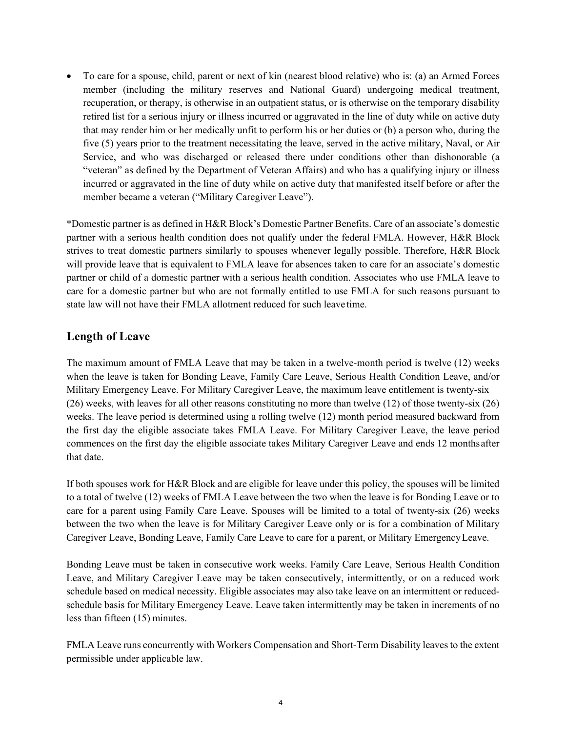<span id="page-3-0"></span>• To care for a spouse, child, parent or next of kin (nearest blood relative) who is: (a) an Armed Forces member (including the military reserves and National Guard) undergoing medical treatment, recuperation, or therapy, is otherwise in an outpatient status, or is otherwise on the temporary disability retired list for a serious injury or illness incurred or aggravated in the line of duty while on active duty that may render him or her medically unfit to perform his or her duties or (b) a person who, during the five (5) years prior to the treatment necessitating the leave, served in the active military, Naval, or Air Service, and who was discharged or released there under conditions other than dishonorable (a "veteran" as defined by the Department of Veteran Affairs) and who has a qualifying injury or illness incurred or aggravated in the line of duty while on active duty that manifested itself before or after the member became a veteran ("Military Caregiver Leave").

\*Domestic partner is as defined in H&R Block's Domestic Partner Benefits. Care of an associate's domestic partner with a serious health condition does not qualify under the federal FMLA. However, H&R Block strives to treat domestic partners similarly to spouses whenever legally possible. Therefore, H&R Block will provide leave that is equivalent to FMLA leave for absences taken to care for an associate's domestic partner or child of a domestic partner with a serious health condition. Associates who use FMLA leave to care for a domestic partner but who are not formally entitled to use FMLA for such reasons pursuant to state law will not have their FMLA allotment reduced for such leave time.

## **Length of Leave**

The maximum amount of FMLA Leave that may be taken in a twelve-month period is twelve (12) weeks when the leave is taken for Bonding Leave, Family Care Leave, Serious Health Condition Leave, and/or Military Emergency Leave. For Military Caregiver Leave, the maximum leave entitlement is twenty-six (26) weeks, with leaves for all other reasons constituting no more than twelve (12) of those twenty-six (26) weeks. The leave period is determined using a rolling twelve (12) month period measured backward from the first day the eligible associate takes FMLA Leave. For Military Caregiver Leave, the leave period commences on the first day the eligible associate takes Military Caregiver Leave and ends 12 monthsafter that date.

<span id="page-3-1"></span>If both spouses work for H&R Block and are eligible for leave under this policy, the spouses will be limited to a total of twelve (12) weeks of FMLA Leave between the two when the leave is for Bonding Leave or to care for a parent using Family Care Leave. Spouses will be limited to a total of twenty-six (26) weeks between the two when the leave is for Military Caregiver Leave only or is for a combination of Military Caregiver Leave, Bonding Leave, Family Care Leave to care for a parent, or Military EmergencyLeave.

Bonding Leave must be taken in consecutive work weeks. Family Care Leave, Serious Health Condition Leave, and Military Caregiver Leave may be taken consecutively, intermittently, or on a reduced work schedule based on medical necessity. Eligible associates may also take leave on an intermittent or reducedschedule basis for Military Emergency Leave. Leave taken intermittently may be taken in increments of no less than fifteen (15) minutes.

FMLA Leave runs concurrently with Workers Compensation and Short-Term Disability leaves to the extent permissible under applicable law.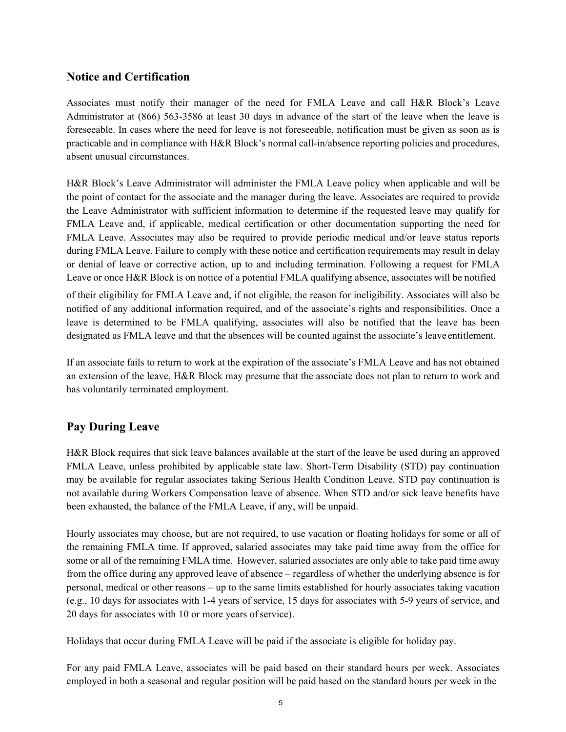## **Notice and Certification**

<span id="page-4-0"></span>Associates must notify their manager of the need for FMLA Leave and call H&R Block's Leave Administrator at (866) 563-3586 at least 30 days in advance of the start of the leave when the leave is foreseeable. In cases where the need for leave is not foreseeable, notification must be given as soon as is practicable and in compliance with H&R Block's normal call-in/absence reporting policies and procedures, absent unusual circumstances.

H&R Block's Leave Administrator will administer the FMLA Leave policy when applicable and will be the point of contact for the associate and the manager during the leave. Associates are required to provide the Leave Administrator with sufficient information to determine if the requested leave may qualify for FMLA Leave and, if applicable, medical certification or other documentation supporting the need for FMLA Leave. Associates may also be required to provide periodic medical and/or leave status reports during FMLA Leave. Failure to comply with these notice and certification requirements may result in delay or denial of leave or corrective action, up to and including termination. Following a request for FMLA Leave or once H&R Block is on notice of a potential FMLA qualifying absence, associates will be notified

of their eligibility for FMLA Leave and, if not eligible, the reason for ineligibility. Associates will also be notified of any additional information required, and of the associate's rights and responsibilities. Once a leave is determined to be FMLA qualifying, associates will also be notified that the leave has been designated as FMLA leave and that the absences will be counted against the associate's leave entitlement.

If an associate fails to return to work at the expiration of the associate's FMLA Leave and has not obtained an extension of the leave, H&R Block may presume that the associate does not plan to return to work and has voluntarily terminated employment.

## **Pay During Leave**

H&R Block requires that sick leave balances available at the start of the leave be used during an approved FMLA Leave, unless prohibited by applicable state law. Short-Term Disability (STD) pay continuation may be available for regular associates taking Serious Health Condition Leave. STD pay continuation is not available during Workers Compensation leave of absence. When STD and/or sick leave benefits have been exhausted, the balance of the FMLA Leave, if any, will be unpaid.

Hourly associates may choose, but are not required, to use vacation or floating holidays for some or all of the remaining FMLA time. If approved, salaried associates may take paid time away from the office for some or all of the remaining FMLA time. However, salaried associates are only able to take paid time away from the office during any approved leave of absence – regardless of whether the underlying absence is for personal, medical or other reasons – up to the same limits established for hourly associates taking vacation (e.g., 10 days for associates with 1-4 years of service, 15 days for associates with 5-9 years of service, and 20 days for associates with 10 or more years of service).

Holidays that occur during FMLA Leave will be paid if the associate is eligible for holiday pay.

For any paid FMLA Leave, associates will be paid based on their standard hours per week. Associates employed in both a seasonal and regular position will be paid based on the standard hours per week in the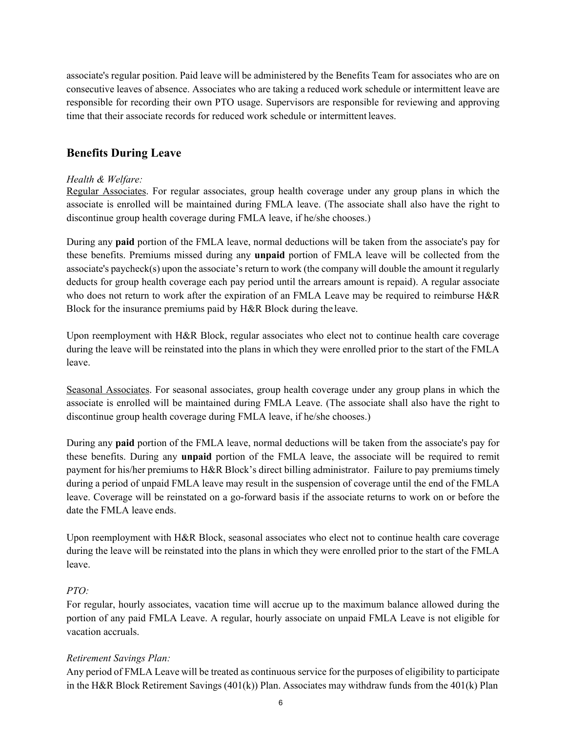<span id="page-5-0"></span>associate's regular position. Paid leave will be administered by the Benefits Team for associates who are on consecutive leaves of absence. Associates who are taking a reduced work schedule or intermittent leave are responsible for recording their own PTO usage. Supervisors are responsible for reviewing and approving time that their associate records for reduced work schedule or intermittent leaves.

## **Benefits During Leave**

#### *Health & Welfare:*

Regular Associates. For regular associates, group health coverage under any group plans in which the associate is enrolled will be maintained during FMLA leave. (The associate shall also have the right to discontinue group health coverage during FMLA leave, if he/she chooses.)

During any **paid** portion of the FMLA leave, normal deductions will be taken from the associate's pay for these benefits. Premiums missed during any **unpaid** portion of FMLA leave will be collected from the associate's paycheck(s) upon the associate's return to work (the company will double the amount it regularly deducts for group health coverage each pay period until the arrears amount is repaid). A regular associate who does not return to work after the expiration of an FMLA Leave may be required to reimburse H&R Block for the insurance premiums paid by H&R Block during the leave.

Upon reemployment with H&R Block, regular associates who elect not to continue health care coverage during the leave will be reinstated into the plans in which they were enrolled prior to the start of the FMLA leave.

Seasonal Associates. For seasonal associates, group health coverage under any group plans in which the associate is enrolled will be maintained during FMLA Leave. (The associate shall also have the right to discontinue group health coverage during FMLA leave, if he/she chooses.)

During any **paid** portion of the FMLA leave, normal deductions will be taken from the associate's pay for these benefits. During any **unpaid** portion of the FMLA leave, the associate will be required to remit payment for his/her premiums to H&R Block's direct billing administrator. Failure to pay premiums timely during a period of unpaid FMLA leave may result in the suspension of coverage until the end of the FMLA leave. Coverage will be reinstated on a go-forward basis if the associate returns to work on or before the date the FMLA leave ends.

Upon reemployment with H&R Block, seasonal associates who elect not to continue health care coverage during the leave will be reinstated into the plans in which they were enrolled prior to the start of the FMLA leave.

#### *PTO:*

For regular, hourly associates, vacation time will accrue up to the maximum balance allowed during the portion of any paid FMLA Leave. A regular, hourly associate on unpaid FMLA Leave is not eligible for vacation accruals.

#### *Retirement Savings Plan:*

Any period of FMLA Leave will be treated as continuous service for the purposes of eligibility to participate in the H&R Block Retirement Savings (401(k)) Plan. Associates may withdraw funds from the 401(k) Plan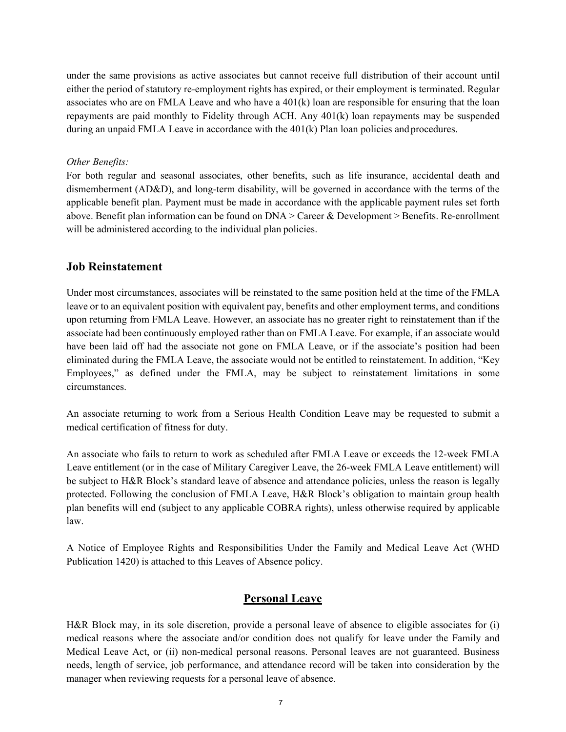<span id="page-6-0"></span>under the same provisions as active associates but cannot receive full distribution of their account until either the period of statutory re-employment rights has expired, or their employment is terminated. Regular associates who are on FMLA Leave and who have a  $401(k)$  loan are responsible for ensuring that the loan repayments are paid monthly to Fidelity through ACH. Any 401(k) loan repayments may be suspended during an unpaid FMLA Leave in accordance with the  $401(k)$  Plan loan policies and procedures.

#### *Other Benefits:*

For both regular and seasonal associates, other benefits, such as life insurance, accidental death and dismemberment (AD&D), and long-term disability, will be governed in accordance with the terms of the applicable benefit plan. Payment must be made in accordance with the applicable payment rules set forth above. Benefit plan information can be found on DNA > Career & Development > Benefits. Re-enrollment will be administered according to the individual plan policies.

#### **Job Reinstatement**

<span id="page-6-1"></span>Under most circumstances, associates will be reinstated to the same position held at the time of the FMLA leave or to an equivalent position with equivalent pay, benefits and other employment terms, and conditions upon returning from FMLA Leave. However, an associate has no greater right to reinstatement than if the associate had been continuously employed rather than on FMLA Leave. For example, if an associate would have been laid off had the associate not gone on FMLA Leave, or if the associate's position had been eliminated during the FMLA Leave, the associate would not be entitled to reinstatement. In addition, "Key Employees," as defined under the FMLA, may be subject to reinstatement limitations in some circumstances.

An associate returning to work from a Serious Health Condition Leave may be requested to submit a medical certification of fitness for duty.

An associate who fails to return to work as scheduled after FMLA Leave or exceeds the 12-week FMLA Leave entitlement (or in the case of Military Caregiver Leave, the 26-week FMLA Leave entitlement) will be subject to H&R Block's standard leave of absence and attendance policies, unless the reason is legally protected. Following the conclusion of FMLA Leave, H&R Block's obligation to maintain group health plan benefits will end (subject to any applicable COBRA rights), unless otherwise required by applicable law.

A Notice of Employee Rights and Responsibilities Under the Family and Medical Leave Act (WHD Publication 1420) is attached to this Leaves of Absence policy.

#### **Personal Leave**

H&R Block may, in its sole discretion, provide a personal leave of absence to eligible associates for (i) medical reasons where the associate and/or condition does not qualify for leave under the Family and Medical Leave Act, or (ii) non-medical personal reasons. Personal leaves are not guaranteed. Business needs, length of service, job performance, and attendance record will be taken into consideration by the manager when reviewing requests for a personal leave of absence.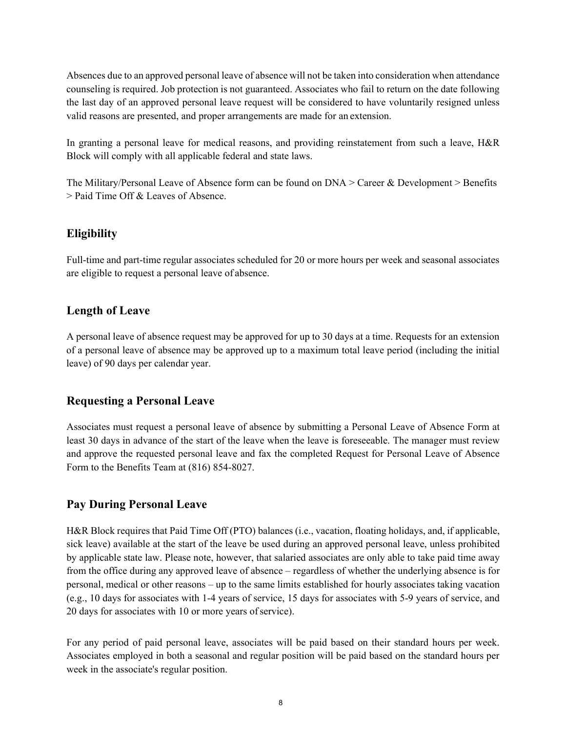<span id="page-7-1"></span><span id="page-7-0"></span>Absences due to an approved personal leave of absence will not be taken into consideration when attendance counseling is required. Job protection is not guaranteed. Associates who fail to return on the date following the last day of an approved personal leave request will be considered to have voluntarily resigned unless valid reasons are presented, and proper arrangements are made for an extension.

<span id="page-7-2"></span>In granting a personal leave for medical reasons, and providing reinstatement from such a leave, H&R Block will comply with all applicable federal and state laws.

The Military/Personal Leave of Absence form can be found on  $DNA >$  Career & Development > Benefits > Paid Time Off & Leaves of Absence.

## **Eligibility**

Full-time and part-time regular associates scheduled for 20 or more hours per week and seasonal associates are eligible to request a personal leave of absence.

## **Length of Leave**

A personal leave of absence request may be approved for up to 30 days at a time. Requests for an extension of a personal leave of absence may be approved up to a maximum total leave period (including the initial leave) of 90 days per calendar year.

## **Requesting a Personal Leave**

Associates must request a personal leave of absence by submitting a Personal Leave of Absence Form at least 30 days in advance of the start of the leave when the leave is foreseeable. The manager must review and approve the requested personal leave and fax the completed Request for Personal Leave of Absence Form to the Benefits Team at (816) 854-8027.

## **Pay During Personal Leave**

H&R Block requires that Paid Time Off (PTO) balances (i.e., vacation, floating holidays, and, if applicable, sick leave) available at the start of the leave be used during an approved personal leave, unless prohibited by applicable state law. Please note, however, that salaried associates are only able to take paid time away from the office during any approved leave of absence – regardless of whether the underlying absence is for personal, medical or other reasons – up to the same limits established for hourly associates taking vacation (e.g., 10 days for associates with 1-4 years of service, 15 days for associates with 5-9 years of service, and 20 days for associates with 10 or more years ofservice).

For any period of paid personal leave, associates will be paid based on their standard hours per week. Associates employed in both a seasonal and regular position will be paid based on the standard hours per week in the associate's regular position.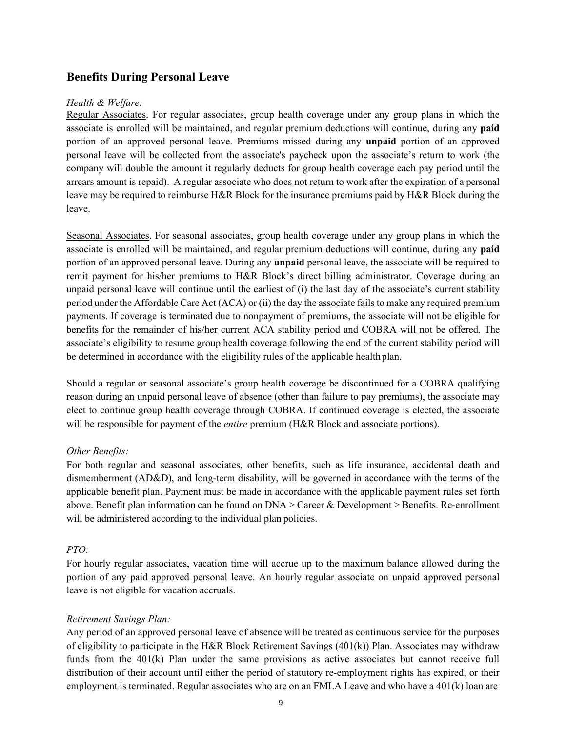#### <span id="page-8-0"></span>**Benefits During Personal Leave**

#### *Health & Welfare:*

Regular Associates. For regular associates, group health coverage under any group plans in which the associate is enrolled will be maintained, and regular premium deductions will continue, during any **paid**  portion of an approved personal leave. Premiums missed during any **unpaid** portion of an approved personal leave will be collected from the associate's paycheck upon the associate's return to work (the company will double the amount it regularly deducts for group health coverage each pay period until the arrears amount is repaid). A regular associate who does not return to work after the expiration of a personal leave may be required to reimburse H&R Block for the insurance premiums paid by H&R Block during the leave.

Seasonal Associates. For seasonal associates, group health coverage under any group plans in which the associate is enrolled will be maintained, and regular premium deductions will continue, during any **paid**  portion of an approved personal leave. During any **unpaid** personal leave, the associate will be required to remit payment for his/her premiums to H&R Block's direct billing administrator. Coverage during an unpaid personal leave will continue until the earliest of (i) the last day of the associate's current stability period under the Affordable Care Act (ACA) or (ii) the day the associate failsto make any required premium payments. If coverage is terminated due to nonpayment of premiums, the associate will not be eligible for benefits for the remainder of his/her current ACA stability period and COBRA will not be offered. The associate's eligibility to resume group health coverage following the end of the current stability period will be determined in accordance with the eligibility rules of the applicable health plan.

Should a regular or seasonal associate's group health coverage be discontinued for a COBRA qualifying reason during an unpaid personal leave of absence (other than failure to pay premiums), the associate may elect to continue group health coverage through COBRA. If continued coverage is elected, the associate will be responsible for payment of the *entire* premium (H&R Block and associate portions).

#### *Other Benefits:*

For both regular and seasonal associates, other benefits, such as life insurance, accidental death and dismemberment (AD&D), and long-term disability, will be governed in accordance with the terms of the applicable benefit plan. Payment must be made in accordance with the applicable payment rules set forth above. Benefit plan information can be found on DNA > Career & Development > Benefits. Re-enrollment will be administered according to the individual plan policies.

#### *PTO:*

For hourly regular associates, vacation time will accrue up to the maximum balance allowed during the portion of any paid approved personal leave. An hourly regular associate on unpaid approved personal leave is not eligible for vacation accruals.

#### *Retirement Savings Plan:*

Any period of an approved personal leave of absence will be treated as continuous service for the purposes of eligibility to participate in the H&R Block Retirement Savings (401(k)) Plan. Associates may withdraw funds from the 401(k) Plan under the same provisions as active associates but cannot receive full distribution of their account until either the period of statutory re-employment rights has expired, or their employment is terminated. Regular associates who are on an FMLA Leave and who have a 401(k) loan are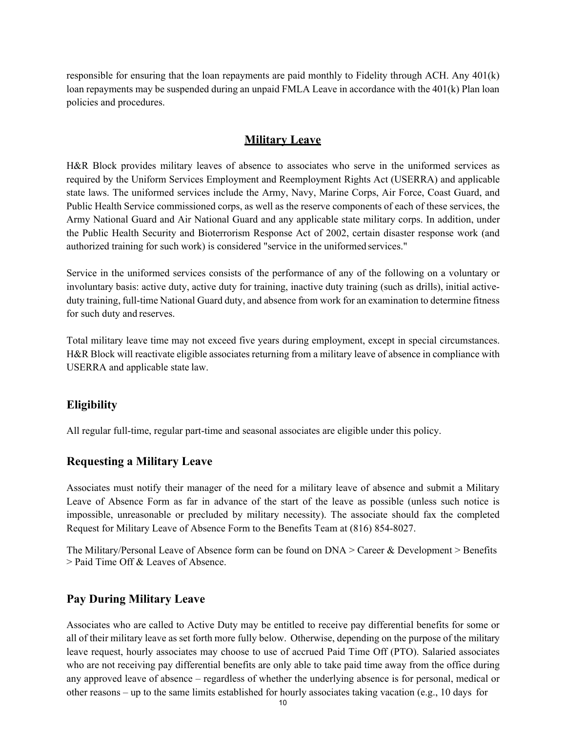<span id="page-9-0"></span>responsible for ensuring that the loan repayments are paid monthly to Fidelity through ACH. Any 401(k) loan repayments may be suspended during an unpaid FMLA Leave in accordance with the 401(k) Plan loan policies and procedures.

#### <span id="page-9-3"></span><span id="page-9-1"></span>**Military Leave**

<span id="page-9-2"></span>H&R Block provides military leaves of absence to associates who serve in the uniformed services as required by the Uniform Services Employment and Reemployment Rights Act (USERRA) and applicable state laws. The uniformed services include the Army, Navy, Marine Corps, Air Force, Coast Guard, and Public Health Service commissioned corps, as well as the reserve components of each of these services, the Army National Guard and Air National Guard and any applicable state military corps. In addition, under the Public Health Security and Bioterrorism Response Act of 2002, certain disaster response work (and authorized training for such work) is considered "service in the uniformed services."

Service in the uniformed services consists of the performance of any of the following on a voluntary or involuntary basis: active duty, active duty for training, inactive duty training (such as drills), initial activeduty training, full-time National Guard duty, and absence from work for an examination to determine fitness for such duty and reserves.

Total military leave time may not exceed five years during employment, except in special circumstances. H&R Block will reactivate eligible associates returning from a military leave of absence in compliance with USERRA and applicable state law.

### **Eligibility**

All regular full-time, regular part-time and seasonal associates are eligible under this policy.

### **Requesting a Military Leave**

Associates must notify their manager of the need for a military leave of absence and submit a Military Leave of Absence Form as far in advance of the start of the leave as possible (unless such notice is impossible, unreasonable or precluded by military necessity). The associate should fax the completed Request for Military Leave of Absence Form to the Benefits Team at (816) 854-8027.

The Military/Personal Leave of Absence form can be found on  $DNA >$  Career & Development  $>$  Benefits > Paid Time Off & Leaves of Absence.

### **Pay During Military Leave**

Associates who are called to Active Duty may be entitled to receive pay differential benefits for some or all of their military leave as set forth more fully below. Otherwise, depending on the purpose of the military leave request, hourly associates may choose to use of accrued Paid Time Off (PTO). Salaried associates who are not receiving pay differential benefits are only able to take paid time away from the office during any approved leave of absence – regardless of whether the underlying absence is for personal, medical or other reasons – up to the same limits established for hourly associates taking vacation (e.g., 10 days for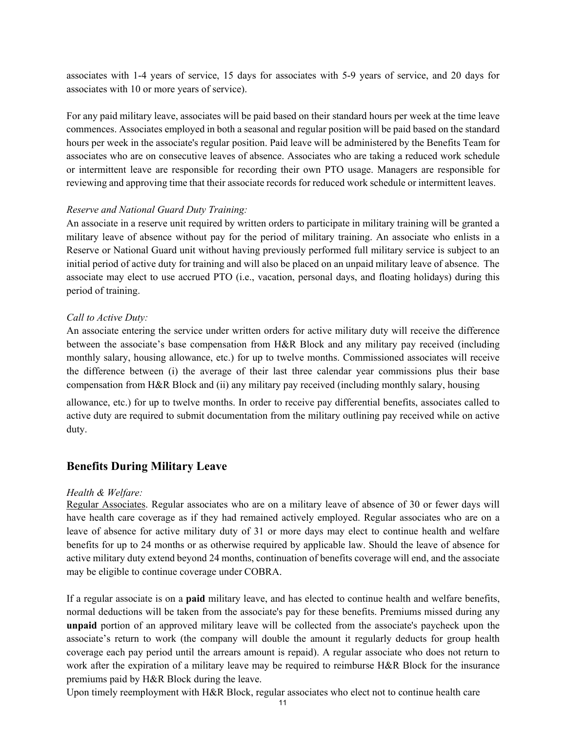associates with 1-4 years of service, 15 days for associates with 5-9 years of service, and 20 days for associates with 10 or more years of service).

<span id="page-10-0"></span>For any paid military leave, associates will be paid based on their standard hours per week at the time leave commences. Associates employed in both a seasonal and regular position will be paid based on the standard hours per week in the associate's regular position. Paid leave will be administered by the Benefits Team for associates who are on consecutive leaves of absence. Associates who are taking a reduced work schedule or intermittent leave are responsible for recording their own PTO usage. Managers are responsible for reviewing and approving time that their associate records for reduced work schedule or intermittent leaves.

#### *Reserve and National Guard Duty Training:*

An associate in a reserve unit required by written orders to participate in military training will be granted a military leave of absence without pay for the period of military training. An associate who enlists in a Reserve or National Guard unit without having previously performed full military service is subject to an initial period of active duty for training and will also be placed on an unpaid military leave of absence. The associate may elect to use accrued PTO (i.e., vacation, personal days, and floating holidays) during this period of training.

#### *Call to Active Duty:*

An associate entering the service under written orders for active military duty will receive the difference between the associate's base compensation from H&R Block and any military pay received (including monthly salary, housing allowance, etc.) for up to twelve months. Commissioned associates will receive the difference between (i) the average of their last three calendar year commissions plus their base compensation from H&R Block and (ii) any military pay received (including monthly salary, housing

allowance, etc.) for up to twelve months. In order to receive pay differential benefits, associates called to active duty are required to submit documentation from the military outlining pay received while on active duty.

#### **Benefits During Military Leave**

#### *Health & Welfare:*

Regular Associates. Regular associates who are on a military leave of absence of 30 or fewer days will have health care coverage as if they had remained actively employed. Regular associates who are on a leave of absence for active military duty of 31 or more days may elect to continue health and welfare benefits for up to 24 months or as otherwise required by applicable law. Should the leave of absence for active military duty extend beyond 24 months, continuation of benefits coverage will end, and the associate may be eligible to continue coverage under COBRA.

If a regular associate is on a **paid** military leave, and has elected to continue health and welfare benefits, normal deductions will be taken from the associate's pay for these benefits. Premiums missed during any **unpaid** portion of an approved military leave will be collected from the associate's paycheck upon the associate's return to work (the company will double the amount it regularly deducts for group health coverage each pay period until the arrears amount is repaid). A regular associate who does not return to work after the expiration of a military leave may be required to reimburse H&R Block for the insurance premiums paid by H&R Block during the leave.

Upon timely reemployment with H&R Block, regular associates who elect not to continue health care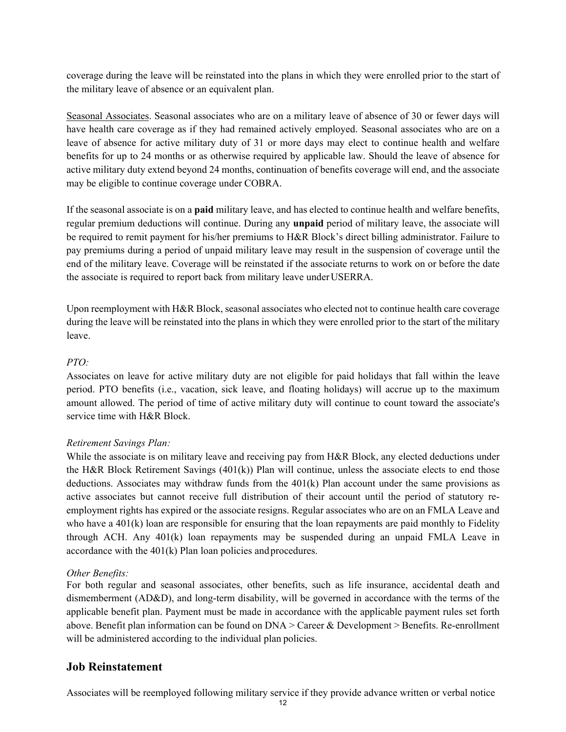coverage during the leave will be reinstated into the plans in which they were enrolled prior to the start of the military leave of absence or an equivalent plan.

Seasonal Associates. Seasonal associates who are on a military leave of absence of 30 or fewer days will have health care coverage as if they had remained actively employed. Seasonal associates who are on a leave of absence for active military duty of 31 or more days may elect to continue health and welfare benefits for up to 24 months or as otherwise required by applicable law. Should the leave of absence for active military duty extend beyond 24 months, continuation of benefits coverage will end, and the associate may be eligible to continue coverage under COBRA.

If the seasonal associate is on a **paid** military leave, and has elected to continue health and welfare benefits, regular premium deductions will continue. During any **unpaid** period of military leave, the associate will be required to remit payment for his/her premiums to H&R Block's direct billing administrator. Failure to pay premiums during a period of unpaid military leave may result in the suspension of coverage until the end of the military leave. Coverage will be reinstated if the associate returns to work on or before the date the associate is required to report back from military leave underUSERRA.

<span id="page-11-0"></span>Upon reemployment with H&R Block, seasonal associates who elected not to continue health care coverage during the leave will be reinstated into the plans in which they were enrolled prior to the start of the military leave.

#### *PTO:*

Associates on leave for active military duty are not eligible for paid holidays that fall within the leave period. PTO benefits (i.e., vacation, sick leave, and floating holidays) will accrue up to the maximum amount allowed. The period of time of active military duty will continue to count toward the associate's service time with H&R Block.

#### *Retirement Savings Plan:*

While the associate is on military leave and receiving pay from H&R Block, any elected deductions under the H&R Block Retirement Savings  $(401(k))$  Plan will continue, unless the associate elects to end those deductions. Associates may withdraw funds from the 401(k) Plan account under the same provisions as active associates but cannot receive full distribution of their account until the period of statutory reemployment rights has expired or the associate resigns. Regular associates who are on an FMLA Leave and who have a 401(k) loan are responsible for ensuring that the loan repayments are paid monthly to Fidelity through ACH. Any 401(k) loan repayments may be suspended during an unpaid FMLA Leave in accordance with the 401(k) Plan loan policies andprocedures.

#### *Other Benefits:*

For both regular and seasonal associates, other benefits, such as life insurance, accidental death and dismemberment (AD&D), and long-term disability, will be governed in accordance with the terms of the applicable benefit plan. Payment must be made in accordance with the applicable payment rules set forth above. Benefit plan information can be found on DNA > Career & Development > Benefits. Re-enrollment will be administered according to the individual plan policies.

## **Job Reinstatement**

Associates will be reemployed following military service if they provide advance written or verbal notice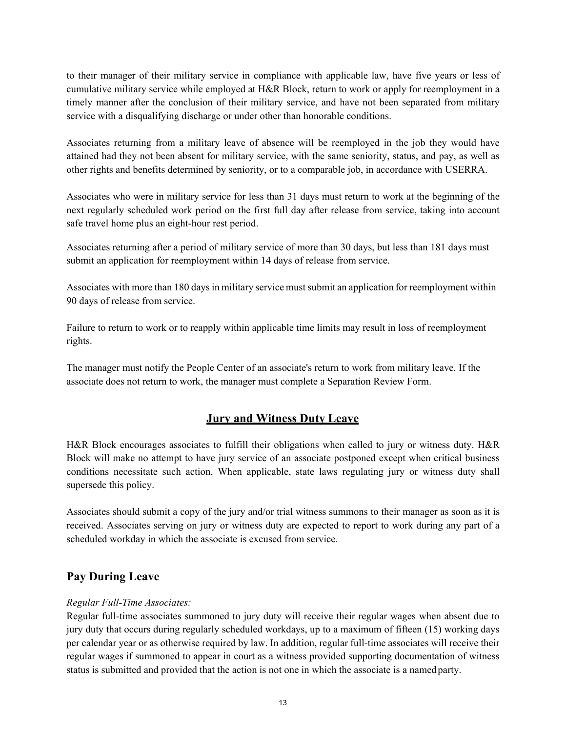<span id="page-12-0"></span>to their manager of their military service in compliance with applicable law, have five years or less of cumulative military service while employed at H&R Block, return to work or apply for reemployment in a timely manner after the conclusion of their military service, and have not been separated from military service with a disqualifying discharge or under other than honorable conditions.

Associates returning from a military leave of absence will be reemployed in the job they would have attained had they not been absent for military service, with the same seniority, status, and pay, as well as other rights and benefits determined by seniority, or to a comparable job, in accordance with USERRA.

Associates who were in military service for less than 31 days must return to work at the beginning of the next regularly scheduled work period on the first full day after release from service, taking into account safe travel home plus an eight-hour rest period.

Associates returning after a period of military service of more than 30 days, but less than 181 days must submit an application for reemployment within 14 days of release from service.

Associates with more than 180 daysin military service must submit an application for reemployment within 90 days of release from service.

Failure to return to work or to reapply within applicable time limits may result in loss of reemployment rights.

The manager must notify the People Center of an associate's return to work from military leave. If the associate does not return to work, the manager must complete a Separation Review Form.

## <span id="page-12-1"></span>**Jury and Witness Duty Leave**

H&R Block encourages associates to fulfill their obligations when called to jury or witness duty. H&R Block will make no attempt to have jury service of an associate postponed except when critical business conditions necessitate such action. When applicable, state laws regulating jury or witness duty shall supersede this policy.

Associates should submit a copy of the jury and/or trial witness summons to their manager as soon as it is received. Associates serving on jury or witness duty are expected to report to work during any part of a scheduled workday in which the associate is excused from service.

## **Pay During Leave**

#### *Regular Full-Time Associates:*

Regular full-time associates summoned to jury duty will receive their regular wages when absent due to jury duty that occurs during regularly scheduled workdays, up to a maximum of fifteen (15) working days per calendar year or as otherwise required by law. In addition, regular full-time associates will receive their regular wages if summoned to appear in court as a witness provided supporting documentation of witness status is submitted and provided that the action is not one in which the associate is a named party.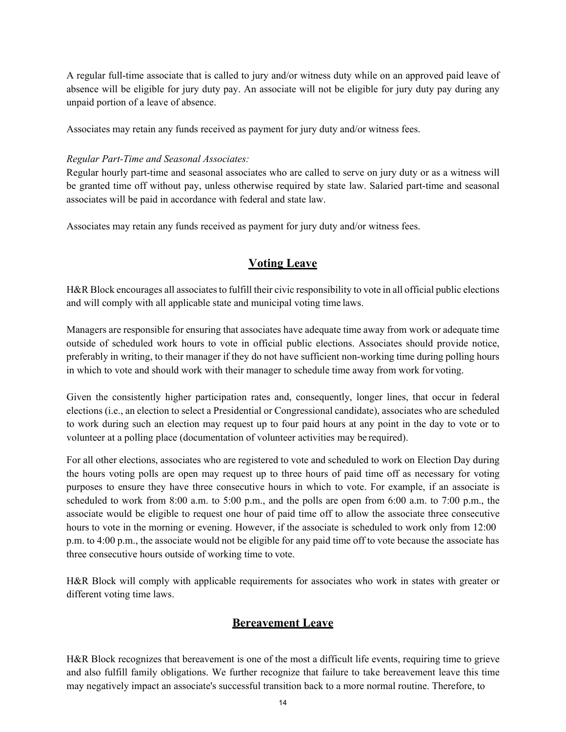<span id="page-13-0"></span>A regular full-time associate that is called to jury and/or witness duty while on an approved paid leave of absence will be eligible for jury duty pay. An associate will not be eligible for jury duty pay during any unpaid portion of a leave of absence.

Associates may retain any funds received as payment for jury duty and/or witness fees.

#### *Regular Part-Time and Seasonal Associates:*

Regular hourly part-time and seasonal associates who are called to serve on jury duty or as a witness will be granted time off without pay, unless otherwise required by state law. Salaried part-time and seasonal associates will be paid in accordance with federal and state law.

Associates may retain any funds received as payment for jury duty and/or witness fees.

## **Voting Leave**

<span id="page-13-1"></span>H&R Block encourages all associates to fulfill their civic responsibility to vote in all official public elections and will comply with all applicable state and municipal voting time laws.

Managers are responsible for ensuring that associates have adequate time away from work or adequate time outside of scheduled work hours to vote in official public elections. Associates should provide notice, preferably in writing, to their manager if they do not have sufficient non-working time during polling hours in which to vote and should work with their manager to schedule time away from work for voting.

Given the consistently higher participation rates and, consequently, longer lines, that occur in federal elections (i.e., an election to select a Presidential or Congressional candidate), associates who are scheduled to work during such an election may request up to four paid hours at any point in the day to vote or to volunteer at a polling place (documentation of volunteer activities may be required).

For all other elections, associates who are registered to vote and scheduled to work on Election Day during the hours voting polls are open may request up to three hours of paid time off as necessary for voting purposes to ensure they have three consecutive hours in which to vote. For example, if an associate is scheduled to work from 8:00 a.m. to 5:00 p.m., and the polls are open from 6:00 a.m. to 7:00 p.m., the associate would be eligible to request one hour of paid time off to allow the associate three consecutive hours to vote in the morning or evening. However, if the associate is scheduled to work only from 12:00 p.m. to 4:00 p.m., the associate would not be eligible for any paid time off to vote because the associate has three consecutive hours outside of working time to vote.

H&R Block will comply with applicable requirements for associates who work in states with greater or different voting time laws.

## **Bereavement Leave**

H&R Block recognizes that bereavement is one of the most a difficult life events, requiring time to grieve and also fulfill family obligations. We further recognize that failure to take bereavement leave this time may negatively impact an associate's successful transition back to a more normal routine. Therefore, to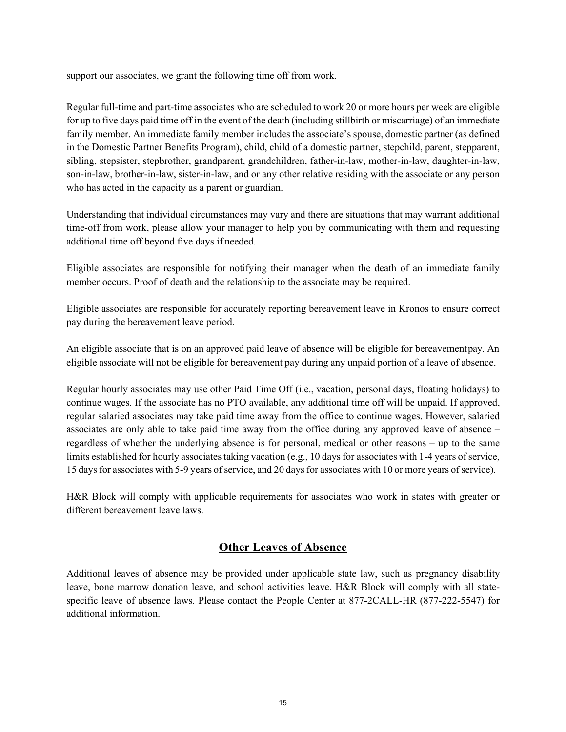support our associates, we grant the following time off from work.

Regular full-time and part-time associates who are scheduled to work 20 or more hours per week are eligible for up to five days paid time off in the event of the death (including stillbirth or miscarriage) of an immediate family member. An immediate family member includes the associate's spouse, domestic partner (as defined in the Domestic Partner Benefits Program), child, child of a domestic partner, stepchild, parent, stepparent, sibling, stepsister, stepbrother, grandparent, grandchildren, father-in-law, mother-in-law, daughter-in-law, son-in-law, brother-in-law, sister-in-law, and or any other relative residing with the associate or any person who has acted in the capacity as a parent or guardian.

Understanding that individual circumstances may vary and there are situations that may warrant additional time-off from work, please allow your manager to help you by communicating with them and requesting additional time off beyond five days if needed.

Eligible associates are responsible for notifying their manager when the death of an immediate family member occurs. Proof of death and the relationship to the associate may be required.

Eligible associates are responsible for accurately reporting bereavement leave in Kronos to ensure correct pay during the bereavement leave period.

<span id="page-14-0"></span>An eligible associate that is on an approved paid leave of absence will be eligible for bereavementpay. An eligible associate will not be eligible for bereavement pay during any unpaid portion of a leave of absence.

Regular hourly associates may use other Paid Time Off (i.e., vacation, personal days, floating holidays) to continue wages. If the associate has no PTO available, any additional time off will be unpaid. If approved, regular salaried associates may take paid time away from the office to continue wages. However, salaried associates are only able to take paid time away from the office during any approved leave of absence – regardless of whether the underlying absence is for personal, medical or other reasons – up to the same limits established for hourly associates taking vacation (e.g., 10 days for associates with 1-4 years of service, 15 daysfor associates with 5-9 years of service, and 20 daysfor associates with 10 or more years of service).

H&R Block will comply with applicable requirements for associates who work in states with greater or different bereavement leave laws.

### **Other Leaves of Absence**

Additional leaves of absence may be provided under applicable state law, such as pregnancy disability leave, bone marrow donation leave, and school activities leave. H&R Block will comply with all statespecific leave of absence laws. Please contact the People Center at 877-2CALL-HR (877-222-5547) for additional information.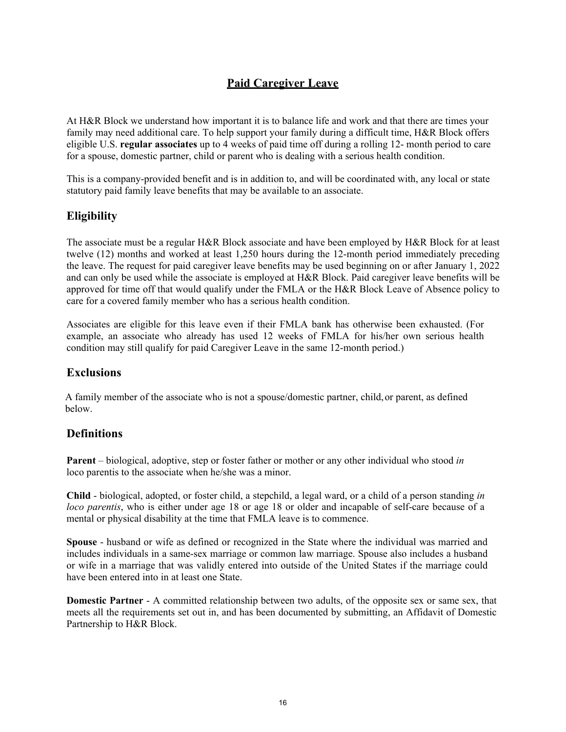## <span id="page-15-1"></span>**Paid Caregiver Leave**

<span id="page-15-0"></span>At H&R Block we understand how important it is to balance life and work and that there are times your family may need additional care. To help support your family during a difficult time, H&R Block offers eligible U.S. **regular associates** up to 4 weeks of paid time off during a rolling 12- month period to care for a spouse, domestic partner, child or parent who is dealing with a serious health condition.

This is a company-provided benefit and is in addition to, and will be coordinated with, any local or state statutory paid family leave benefits that may be available to an associate.

## **Eligibility**

The associate must be a regular H&R Block associate and have been employed by H&R Block for at least twelve (12) months and worked at least 1,250 hours during the 12-month period immediately preceding the leave. The request for paid caregiver leave benefits may be used beginning on or after January 1, 2022 and can only be used while the associate is employed at H&R Block. Paid caregiver leave benefits will be approved for time off that would qualify under the FMLA or the H&R Block Leave of Absence policy to care for a covered family member who has a serious health condition.

Associates are eligible for this leave even if their FMLA bank has otherwise been exhausted. (For example, an associate who already has used 12 weeks of FMLA for his/her own serious health condition may still qualify for paid Caregiver Leave in the same 12-month period.)

## **Exclusions**

A family member of the associate who is not a spouse/domestic partner, child,or parent, as defined below.

### **Definitions**

**Parent** – biological, adoptive, step or foster father or mother or any other individual who stood *in* loco parentis to the associate when he/she was a minor.

**Child** - biological, adopted, or foster child, a stepchild, a legal ward, or a child of a person standing *in loco parentis*, who is either under age 18 or [age 18 or older and incapable of](https://www.dol.gov/whd/regs/compliance/whdfs28k.htm) self-care [because of a](https://www.dol.gov/whd/regs/compliance/whdfs28k.htm)  [mental or physical disability a](https://www.dol.gov/whd/regs/compliance/whdfs28k.htm)t the time that FMLA leave is to commence.

**Spouse** - husband or wife as defined or recognized in the State where the individual was married and includes individuals in a same-sex marriage or common law marriage. Spouse also includes a husband or wife in a marriage that was validly entered into outside of the United States if the marriage could have been entered into in at least one State.

**Domestic Partner** - A committed relationship between two adults, of the opposite sex or same sex, that meets all the requirements set out in, and has been documented by submitting, an Affidavit of Domestic Partnership to H&R Block.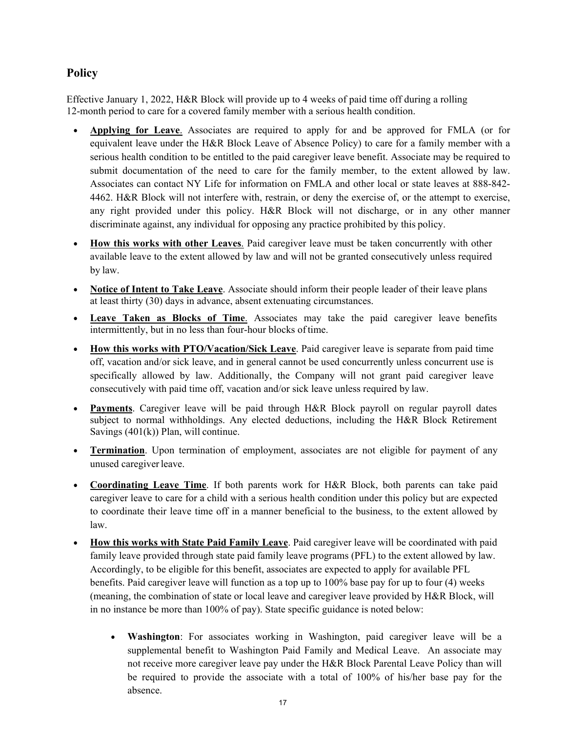## <span id="page-16-0"></span>**Policy**

Effective January 1, 2022, H&R Block will provide up to 4 weeks of paid time off during a rolling 12-month period to care for a covered family member with a serious health condition.

- **Applying for Leave**. Associates are required to apply for and be approved for FMLA (or for equivalent leave under the H&R Block Leave of Absence Policy) to care for a family member with a serious health condition to be entitled to the paid caregiver leave benefit. Associate may be required to submit documentation of the need to care for the family member, to the extent allowed by law. Associates can contact NY Life for information on FMLA and other local or state leaves at 888-842- 4462. H&R Block will not interfere with, restrain, or deny the exercise of, or the attempt to exercise, any right provided under this policy. H&R Block will not discharge, or in any other manner discriminate against, any individual for opposing any practice prohibited by this policy.
- **How this works with other Leaves**. Paid caregiver leave must be taken concurrently with other available leave to the extent allowed by law and will not be granted consecutively unless required by law.
- **Notice of Intent to Take Leave**. Associate should inform their people leader of their leave plans at least thirty (30) days in advance, absent extenuating circumstances.
- **Leave Taken as Blocks of Time**. Associates may take the paid caregiver leave benefits intermittently, but in no less than four-hour blocks oftime.
- **How this works with PTO/Vacation/Sick Leave**. Paid caregiver leave is separate from paid time off, vacation and/or sick leave, and in general cannot be used concurrently unless concurrent use is specifically allowed by law. Additionally, the Company will not grant paid caregiver leave consecutively with paid time off, vacation and/or sick leave unless required by law.
- **Payments**. Caregiver leave will be paid through H&R Block payroll on regular payroll dates subject to normal withholdings. Any elected deductions, including the H&R Block Retirement Savings  $(401(k))$  Plan, will continue.
- **Termination**. Upon termination of employment, associates are not eligible for payment of any unused caregiverleave.
- **Coordinating Leave Time**. If both parents work for H&R Block, both parents can take paid caregiver leave to care for a child with a serious health condition under this policy but are expected to coordinate their leave time off in a manner beneficial to the business, to the extent allowed by law.
- <span id="page-16-1"></span>• **How this works with State Paid Family Leave**. Paid caregiver leave will be coordinated with paid family leave provided through state paid family leave programs (PFL) to the extent allowed by law. Accordingly, to be eligible for this benefit, associates are expected to apply for available PFL benefits. Paid caregiver leave will function as a top up to 100% base pay for up to four (4) weeks (meaning, the combination of state or local leave and caregiver leave provided by H&R Block, will in no instance be more than 100% of pay). State specific guidance is noted below:
	- **Washington**: For associates working in Washington, paid caregiver leave will be a supplemental benefit to Washington Paid Family and Medical Leave. An associate may not receive more caregiver leave pay under the H&R Block Parental Leave Policy than will be required to provide the associate with a total of 100% of his/her base pay for the absence.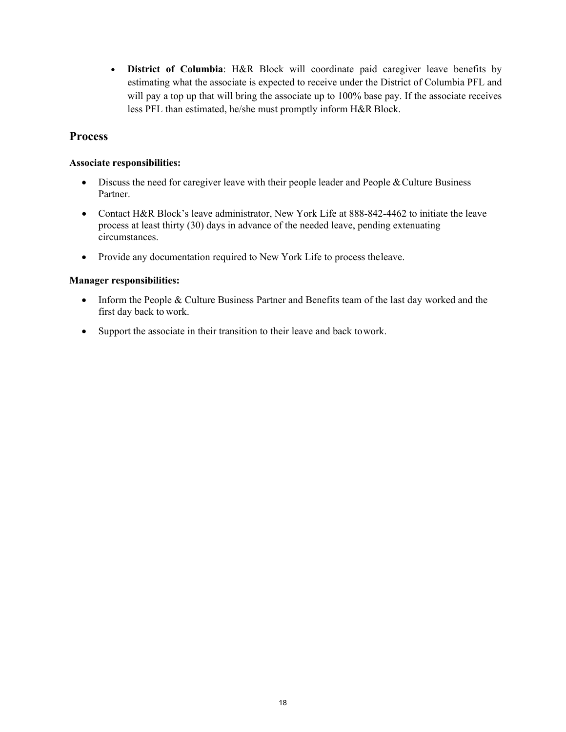• **District of Columbia**: H&R Block will coordinate paid caregiver leave benefits by estimating what the associate is expected to receive under the District of Columbia PFL and will pay a top up that will bring the associate up to 100% base pay. If the associate receives less PFL than estimated, he/she must promptly inform H&R Block.

## **Process**

#### **Associate responsibilities:**

- Discuss the need for caregiver leave with their people leader and People & Culture Business Partner.
- Contact H&R Block's leave administrator, New York Life at 888-842-4462 to initiate the leave process at least thirty (30) days in advance of the needed leave, pending extenuating circumstances.
- Provide any documentation required to New York Life to process theleave.

#### **Manager responsibilities:**

- Inform the People & Culture Business Partner and Benefits team of the last day worked and the first day back to work.
- Support the associate in their transition to their leave and back to work.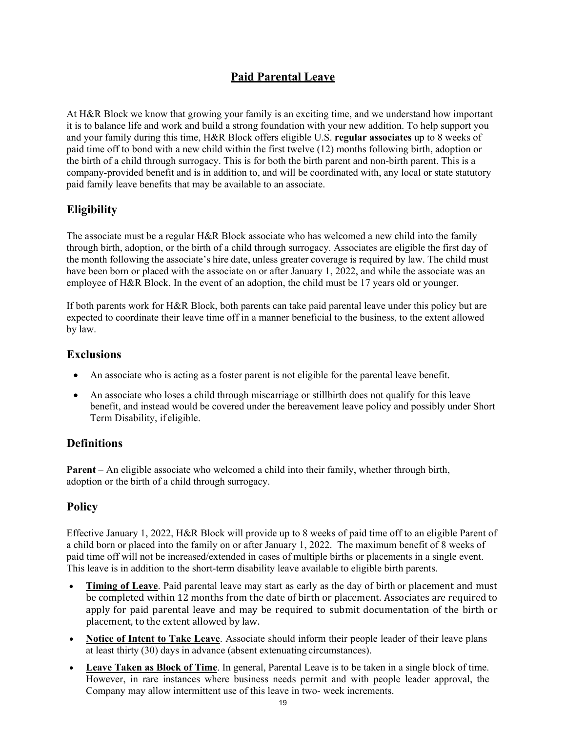## **Paid Parental Leave**

<span id="page-18-0"></span>At H&R Block we know that growing your family is an exciting time, and we understand how important it is to balance life and work and build a strong foundation with your new addition. To help support you and your family during this time, H&R Block offers eligible U.S. **regular associates** up to 8 weeks of paid time off to bond with a new child within the first twelve (12) months following birth, adoption or the birth of a child through surrogacy. This is for both the birth parent and non-birth parent. This is a company-provided benefit and is in addition to, and will be coordinated with, any local or state statutory paid family leave benefits that may be available to an associate.

## **Eligibility**

The associate must be a regular H&R Block associate who has welcomed a new child into the family through birth, adoption, or the birth of a child through surrogacy. Associates are eligible the first day of the month following the associate's hire date, unless greater coverage is required by law. The child must have been born or placed with the associate on or after January 1, 2022, and while the associate was an employee of H&R Block. In the event of an adoption, the child must be 17 years old or younger.

If both parents work for H&R Block, both parents can take paid parental leave under this policy but are expected to coordinate their leave time off in a manner beneficial to the business, to the extent allowed by law.

## **Exclusions**

- An associate who is acting as a foster parent is not eligible for the parental leave benefit.
- <span id="page-18-1"></span>• An associate who loses a child through miscarriage or stillbirth does not qualify for this leave benefit, and instead would be covered under the bereavement leave policy and possibly under Short Term Disability, if eligible.

## **Definitions**

<span id="page-18-2"></span>**Parent** – An eligible associate who welcomed a child into their family, whether through birth, adoption or the birth of a child through surrogacy.

## **Policy**

Effective January 1, 2022, H&R Block will provide up to 8 weeks of paid time off to an eligible Parent of a child born or placed into the family on or after January 1, 2022. The maximum benefit of 8 weeks of paid time off will not be increased/extended in cases of multiple births or placements in a single event. This leave is in addition to the short-term disability leave available to eligible birth parents.

- **Timing of Leave**. Paid parental leave may start as early as the day of birth or placement and must be completed within 12 months from the date of birth or placement. Associates are required to apply for paid parental leave and may be required to submit documentation of the birth or placement, to the extent allowed by law.
- **Notice of Intent to Take Leave**. Associate should inform their people leader of their leave plans at least thirty (30) days in advance (absent extenuating circumstances).
- **Leave Taken as Block of Time**. In general, Parental Leave is to be taken in a single block of time. However, in rare instances where business needs permit and with people leader approval, the Company may allow intermittent use of this leave in two- week increments.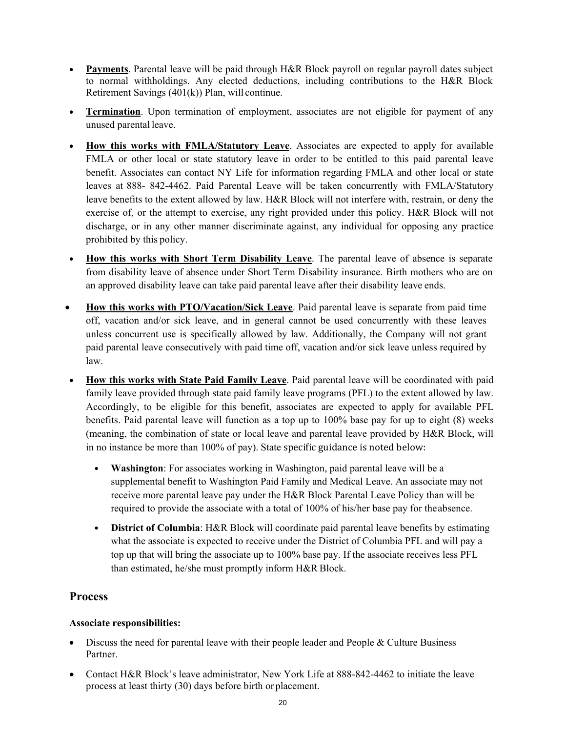- **Payments**. Parental leave will be paid through H&R Block payroll on regular payroll dates subject to normal withholdings. Any elected deductions, including contributions to the H&R Block Retirement Savings (401(k)) Plan, will continue.
- **Termination**. Upon termination of employment, associates are not eligible for payment of any unused parental leave.
- **How this works with FMLA/Statutory Leave**. Associates are expected to apply for available FMLA or other local or state statutory leave in order to be entitled to this paid parental leave benefit. Associates can contact NY Life for information regarding FMLA and other local or state leaves at 888- 842-4462. Paid Parental Leave will be taken concurrently with FMLA/Statutory leave benefits to the extent allowed by law. H&R Block will not interfere with, restrain, or deny the exercise of, or the attempt to exercise, any right provided under this policy. H&R Block will not discharge, or in any other manner discriminate against, any individual for opposing any practice prohibited by this policy.
- **How this works with Short Term Disability Leave**. The parental leave of absence is separate from disability leave of absence under Short Term Disability insurance. Birth mothers who are on an approved disability leave can take paid parental leave after their disability leave ends.
- **How this works with PTO/Vacation/Sick Leave**. Paid parental leave is separate from paid time off, vacation and/or sick leave, and in general cannot be used concurrently with these leaves unless concurrent use is specifically allowed by law. Additionally, the Company will not grant paid parental leave consecutively with paid time off, vacation and/or sick leave unless required by law.
- <span id="page-19-0"></span>• **How this works with State Paid Family Leave**. Paid parental leave will be coordinated with paid family leave provided through state paid family leave programs (PFL) to the extent allowed by law. Accordingly, to be eligible for this benefit, associates are expected to apply for available PFL benefits. Paid parental leave will function as a top up to 100% base pay for up to eight (8) weeks (meaning, the combination of state or local leave and parental leave provided by H&R Block, will in no instance be more than 100% of pay). State specific guidance is noted below:
	- **Washington**: For associates working in Washington, paid parental leave will be a supplemental benefit to Washington Paid Family and Medical Leave. An associate may not receive more parental leave pay under the H&R Block Parental Leave Policy than will be required to provide the associate with a total of 100% of his/her base pay for theabsence.
	- **District of Columbia**: H&R Block will coordinate paid parental leave benefits by estimating what the associate is expected to receive under the District of Columbia PFL and will pay a top up that will bring the associate up to 100% base pay. If the associate receives less PFL than estimated, he/she must promptly inform H&R Block.

## **Process**

### **Associate responsibilities:**

- Discuss the need for parental leave with their people leader and People & Culture Business Partner.
- Contact H&R Block's leave administrator, New York Life at 888-842-4462 to initiate the leave process at least thirty (30) days before birth or placement.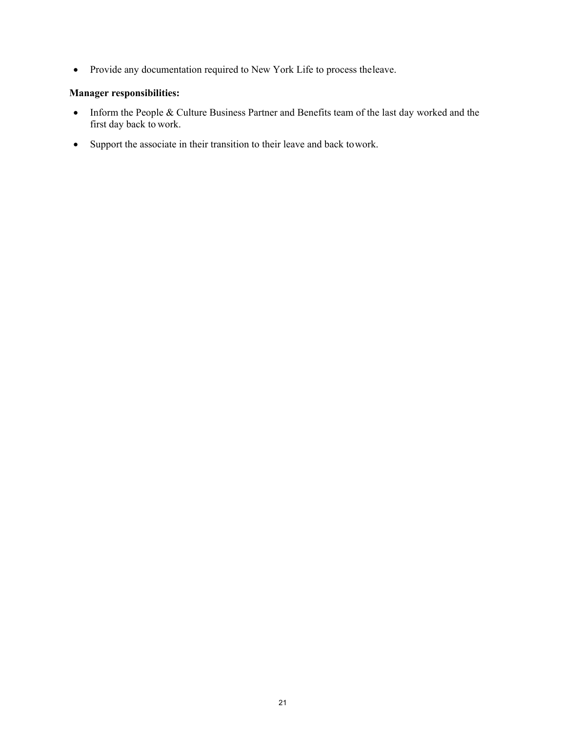• Provide any documentation required to New York Life to process theleave.

#### **Manager responsibilities:**

- Inform the People & Culture Business Partner and Benefits team of the last day worked and the first day back to work.
- Support the associate in their transition to their leave and back towork.